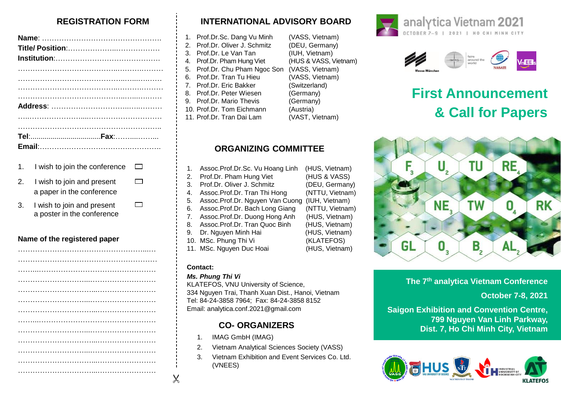## **REGISTRATION FORM**

 $\Box$ 

 $\Box$ 

- 1. I wish to join the conference  $\overline{\phantom{a}}$
- 2. I wish to join and present a paper in the conference
- 3. I wish to join and present a poster in the conference

## **Name of the registered paper**

# **INTERNATIONAL ADVISORY BOARD**

| 1. Prof.Dr.Sc. Dang Vu Minh   | (VASS, Vietnam)       |
|-------------------------------|-----------------------|
| 2. Prof.Dr. Oliver J. Schmitz | (DEU, Germany)        |
| 3. Prof.Dr. Le Van Tan        | (IUH, Vietnam)        |
| 4. Prof.Dr. Pham Hung Viet    | (HUS & VASS, Vietnam) |
| 5. Prof.Dr. Chu Pham Ngoc Son | (VASS, Vietnam)       |
| 6. Prof.Dr. Tran Tu Hieu      | (VASS, Vietnam)       |
| 7. Prof.Dr. Eric Bakker       | (Switzerland)         |
| 8. Prof.Dr. Peter Wiesen      | (Germany)             |
| 9. Prof.Dr. Mario Thevis      | (Germany)             |
| 10. Prof.Dr. Tom Eichmann     | (Austria)             |
| 11. Prof.Dr. Tran Dai Lam     | (VAST, Vietnam)       |
|                               |                       |

## **ORGANIZING COMMITTEE**

| 1. | Assoc.Prof.Dr.Sc. Vu Hoang Linh | (HUS, Vietnam)  |
|----|---------------------------------|-----------------|
| 2. | Prof.Dr. Pham Hung Viet         | (HUS & VASS)    |
| 3. | Prof.Dr. Oliver J. Schmitz      | (DEU, Germany)  |
| 4. | Assoc.Prof.Dr. Tran Thi Hong    | (NTTU, Vietnam) |
| 5. | Assoc.Prof.Dr. Nguyen Van Cuong | (IUH, Vietnam)  |
| 6. | Assoc.Prof.Dr. Bach Long Giang  | (NTTU, Vietnam) |
| 7. | Assoc.Prof.Dr. Duong Hong Anh   | (HUS, Vietnam)  |
| 8. | Assoc.Prof.Dr. Tran Quoc Binh   | (HUS, Vietnam)  |
| 9. | Dr. Nguyen Minh Hai             | (HUS, Vietnam)  |
|    | 10. MSc. Phung Thi Vi           | (KLATEFOS)      |
|    | 11. MSc. Nguyen Duc Hoai        | (HUS, Vietnam)  |
|    |                                 |                 |

## **Contact:**

 $\chi$ 

#### *Ms. Phung Thi Vi*

KLATEFOS, VNU University of Science, 334 Nguyen Trai, Thanh Xuan Dist., Hanoi, Vietnam Tel: 84-24-3858 7964; Fax: 84-24-3858 8152 Email: analytica.conf.2021@gmail.com

# **CO- ORGANIZERS**

- 1. IMAG GmbH (IMAG)
- 2. Vietnam Analytical Sciences Society (VASS)
- 3. Vietnam Exhibition and Event Services Co. Ltd. (VNEES)





# **First Announcement & Call for Papers**



**The 7 th analytica Vietnam Conference**

## **October 7-8, 2021**

**Saigon Exhibition and Convention Centre, 799 Nguyen Van Linh Parkway, Dist. 7, Ho Chi Minh City, Vietnam**